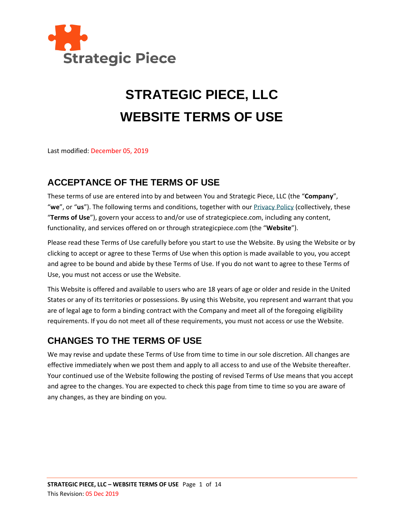

# **STRATEGIC PIECE, LLC WEBSITE TERMS OF USE**

Last modified: December 05, 2019

# **ACCEPTANCE OF THE TERMS OF USE**

These terms of use are entered into by and between You and Strategic Piece, LLC (the "**Company**", "**we**", or "**us**"). The following terms and conditions, together with ou[r Privacy Policy](http://www.strategicpiece.com/privacy-policy) (collectively, these "**Terms of Use**"), govern your access to and/or use of strategicpiece.com, including any content, functionality, and services offered on or through strategicpiece.com (the "**Website**").

Please read these Terms of Use carefully before you start to use the Website. By using the Website or by clicking to accept or agree to these Terms of Use when this option is made available to you, you accept and agree to be bound and abide by these Terms of Use. If you do not want to agree to these Terms of Use, you must not access or use the Website.

This Website is offered and available to users who are 18 years of age or older and reside in the United States or any of its territories or possessions. By using this Website, you represent and warrant that you are of legal age to form a binding contract with the Company and meet all of the foregoing eligibility requirements. If you do not meet all of these requirements, you must not access or use the Website.

## **CHANGES TO THE TERMS OF USE**

We may revise and update these Terms of Use from time to time in our sole discretion. All changes are effective immediately when we post them and apply to all access to and use of the Website thereafter. Your continued use of the Website following the posting of revised Terms of Use means that you accept and agree to the changes. You are expected to check this page from time to time so you are aware of any changes, as they are binding on you.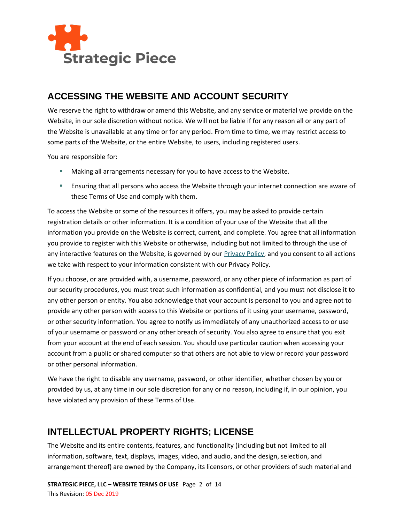

## **ACCESSING THE WEBSITE AND ACCOUNT SECURITY**

We reserve the right to withdraw or amend this Website, and any service or material we provide on the Website, in our sole discretion without notice. We will not be liable if for any reason all or any part of the Website is unavailable at any time or for any period. From time to time, we may restrict access to some parts of the Website, or the entire Website, to users, including registered users.

You are responsible for:

- **■** Making all arrangements necessary for you to have access to the Website.
- **E** Ensuring that all persons who access the Website through your internet connection are aware of these Terms of Use and comply with them.

To access the Website or some of the resources it offers, you may be asked to provide certain registration details or other information. It is a condition of your use of the Website that all the information you provide on the Website is correct, current, and complete. You agree that all information you provide to register with this Website or otherwise, including but not limited to through the use of any interactive features on the Website, is governed by ou[r Privacy Policy,](http://www.strategicpiece.com/privacy-policy) and you consent to all actions we take with respect to your information consistent with our Privacy Policy.

If you choose, or are provided with, a username, password, or any other piece of information as part of our security procedures, you must treat such information as confidential, and you must not disclose it to any other person or entity. You also acknowledge that your account is personal to you and agree not to provide any other person with access to this Website or portions of it using your username, password, or other security information. You agree to notify us immediately of any unauthorized access to or use of your username or password or any other breach of security. You also agree to ensure that you exit from your account at the end of each session. You should use particular caution when accessing your account from a public or shared computer so that others are not able to view or record your password or other personal information.

We have the right to disable any username, password, or other identifier, whether chosen by you or provided by us, at any time in our sole discretion for any or no reason, including if, in our opinion, you have violated any provision of these Terms of Use.

## **INTELLECTUAL PROPERTY RIGHTS; LICENSE**

The Website and its entire contents, features, and functionality (including but not limited to all information, software, text, displays, images, video, and audio, and the design, selection, and arrangement thereof) are owned by the Company, its licensors, or other providers of such material and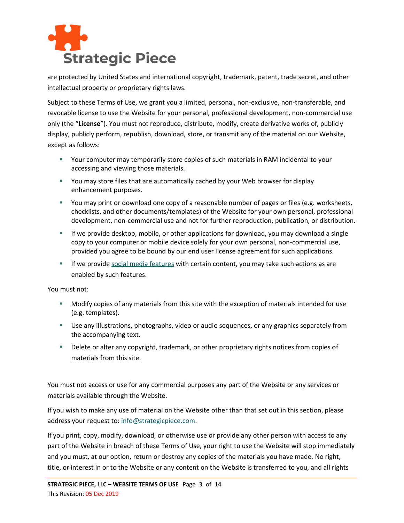

are protected by United States and international copyright, trademark, patent, trade secret, and other intellectual property or proprietary rights laws.

Subject to these Terms of Use, we grant you a limited, personal, non-exclusive, non-transferable, and revocable license to use the Website for your personal, professional development, non-commercial use only (the "**License**"). You must not reproduce, distribute, modify, create derivative works of, publicly display, publicly perform, republish, download, store, or transmit any of the material on our Website, except as follows:

- Your computer may temporarily store copies of such materials in RAM incidental to your accessing and viewing those materials.
- You may store files that are automatically cached by your Web browser for display enhancement purposes.
- You may print or download one copy of a reasonable number of pages or files (e.g. worksheets, checklists, and other documents/templates) of the Website for your own personal, professional development, non-commercial use and not for further reproduction, publication, or distribution.
- **E** If we provide desktop, mobile, or other applications for download, you may download a single copy to your computer or mobile device solely for your own personal, non-commercial use, provided you agree to be bound by our end user license agreement for such applications.
- If we provide [social media features](#page-9-0) with certain content, you may take such actions as are enabled by such features.

You must not:

- Modify copies of any materials from this site with the exception of materials intended for use (e.g. templates).
- **E** Use any illustrations, photographs, video or audio sequences, or any graphics separately from the accompanying text.
- **EXECT** Delete or alter any copyright, trademark, or other proprietary rights notices from copies of materials from this site.

You must not access or use for any commercial purposes any part of the Website or any services or materials available through the Website.

If you wish to make any use of material on the Website other than that set out in this section, please address your request to: [info@strategicpiece.com.](mailto:info@strategicpiece.com)

If you print, copy, modify, download, or otherwise use or provide any other person with access to any part of the Website in breach of these Terms of Use, your right to use the Website will stop immediately and you must, at our option, return or destroy any copies of the materials you have made. No right, title, or interest in or to the Website or any content on the Website is transferred to you, and all rights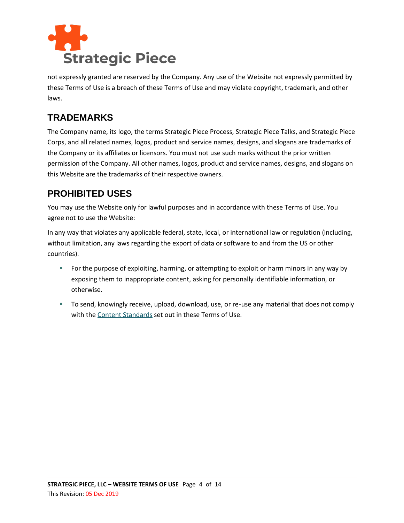

not expressly granted are reserved by the Company. Any use of the Website not expressly permitted by these Terms of Use is a breach of these Terms of Use and may violate copyright, trademark, and other laws.

#### **TRADEMARKS**

The Company name, its logo, the terms Strategic Piece Process, Strategic Piece Talks, and Strategic Piece Corps, and all related names, logos, product and service names, designs, and slogans are trademarks of the Company or its affiliates or licensors. You must not use such marks without the prior written permission of the Company. All other names, logos, product and service names, designs, and slogans on this Website are the trademarks of their respective owners.

## **PROHIBITED USES**

You may use the Website only for lawful purposes and in accordance with these Terms of Use. You agree not to use the Website:

In any way that violates any applicable federal, state, local, or international law or regulation (including, without limitation, any laws regarding the export of data or software to and from the US or other countries).

- For the purpose of exploiting, harming, or attempting to exploit or harm minors in any way by exposing them to inappropriate content, asking for personally identifiable information, or otherwise.
- To send, knowingly receive, upload, download, use, or re-use any material that does not comply with the [Content Standards](#page-7-0) set out in these Terms of Use.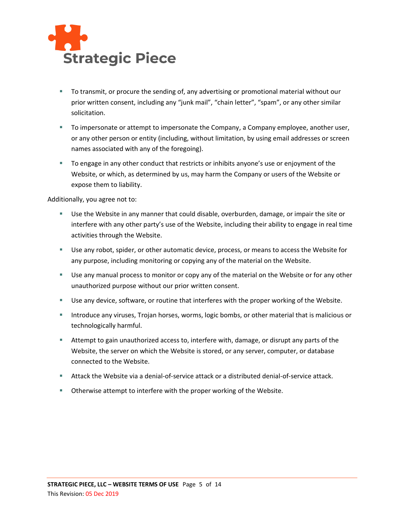

- To transmit, or procure the sending of, any advertising or promotional material without our prior written consent, including any "junk mail", "chain letter", "spam", or any other similar solicitation.
- To impersonate or attempt to impersonate the Company, a Company employee, another user, or any other person or entity (including, without limitation, by using email addresses or screen names associated with any of the foregoing).
- To engage in any other conduct that restricts or inhibits anyone's use or enjoyment of the Website, or which, as determined by us, may harm the Company or users of the Website or expose them to liability.

Additionally, you agree not to:

- Use the Website in any manner that could disable, overburden, damage, or impair the site or interfere with any other party's use of the Website, including their ability to engage in real time activities through the Website.
- Use any robot, spider, or other automatic device, process, or means to access the Website for any purpose, including monitoring or copying any of the material on the Website.
- **E** Use any manual process to monitor or copy any of the material on the Website or for any other unauthorized purpose without our prior written consent.
- Use any device, software, or routine that interferes with the proper working of the Website.
- **EXED** Introduce any viruses, Trojan horses, worms, logic bombs, or other material that is malicious or technologically harmful.
- **EXTEM** Attempt to gain unauthorized access to, interfere with, damage, or disrupt any parts of the Website, the server on which the Website is stored, or any server, computer, or database connected to the Website.
- **E** Attack the Website via a denial-of-service attack or a distributed denial-of-service attack.
- Otherwise attempt to interfere with the proper working of the Website.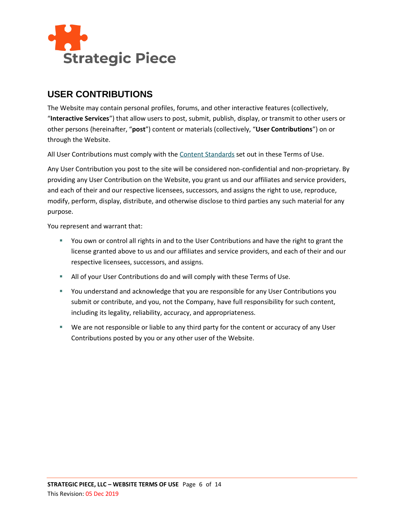

#### **USER CONTRIBUTIONS**

The Website may contain personal profiles, forums, and other interactive features (collectively, "**Interactive Services**") that allow users to post, submit, publish, display, or transmit to other users or other persons (hereinafter, "**post**") content or materials (collectively, "**User Contributions**") on or through the Website.

All User Contributions must comply with the [Content Standards](#page-7-0) set out in these Terms of Use.

Any User Contribution you post to the site will be considered non-confidential and non-proprietary. By providing any User Contribution on the Website, you grant us and our affiliates and service providers, and each of their and our respective licensees, successors, and assigns the right to use, reproduce, modify, perform, display, distribute, and otherwise disclose to third parties any such material for any purpose.

You represent and warrant that:

- You own or control all rights in and to the User Contributions and have the right to grant the license granted above to us and our affiliates and service providers, and each of their and our respective licensees, successors, and assigns.
- **E** All of your User Contributions do and will comply with these Terms of Use.
- You understand and acknowledge that you are responsible for any User Contributions you submit or contribute, and you, not the Company, have full responsibility for such content, including its legality, reliability, accuracy, and appropriateness.
- We are not responsible or liable to any third party for the content or accuracy of any User Contributions posted by you or any other user of the Website.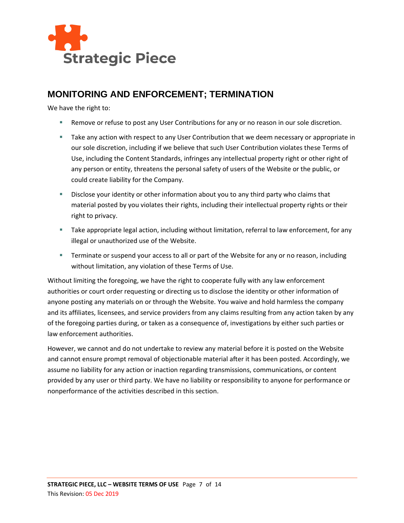

#### **MONITORING AND ENFORCEMENT; TERMINATION**

We have the right to:

- Remove or refuse to post any User Contributions for any or no reason in our sole discretion.
- **EXECT** Take any action with respect to any User Contribution that we deem necessary or appropriate in our sole discretion, including if we believe that such User Contribution violates these Terms of Use, including the Content Standards, infringes any intellectual property right or other right of any person or entity, threatens the personal safety of users of the Website or the public, or could create liability for the Company.
- **E** Disclose your identity or other information about you to any third party who claims that material posted by you violates their rights, including their intellectual property rights or their right to privacy.
- **E** Take appropriate legal action, including without limitation, referral to law enforcement, for any illegal or unauthorized use of the Website.
- **E** Terminate or suspend your access to all or part of the Website for any or no reason, including without limitation, any violation of these Terms of Use.

Without limiting the foregoing, we have the right to cooperate fully with any law enforcement authorities or court order requesting or directing us to disclose the identity or other information of anyone posting any materials on or through the Website. You waive and hold harmless the company and its affiliates, licensees, and service providers from any claims resulting from any action taken by any of the foregoing parties during, or taken as a consequence of, investigations by either such parties or law enforcement authorities.

However, we cannot and do not undertake to review any material before it is posted on the Website and cannot ensure prompt removal of objectionable material after it has been posted. Accordingly, we assume no liability for any action or inaction regarding transmissions, communications, or content provided by any user or third party. We have no liability or responsibility to anyone for performance or nonperformance of the activities described in this section.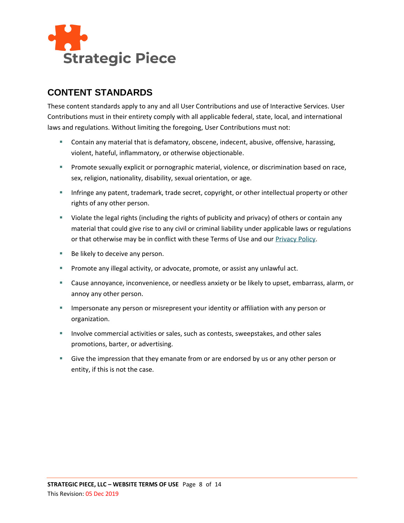

## <span id="page-7-0"></span>**CONTENT STANDARDS**

These content standards apply to any and all User Contributions and use of Interactive Services. User Contributions must in their entirety comply with all applicable federal, state, local, and international laws and regulations. Without limiting the foregoing, User Contributions must not:

- Contain any material that is defamatory, obscene, indecent, abusive, offensive, harassing, violent, hateful, inflammatory, or otherwise objectionable.
- **Promote sexually explicit or pornographic material, violence, or discrimination based on race,** sex, religion, nationality, disability, sexual orientation, or age.
- **EXED** Infringe any patent, trademark, trade secret, copyright, or other intellectual property or other rights of any other person.
- Violate the legal rights (including the rights of publicity and privacy) of others or contain any material that could give rise to any civil or criminal liability under applicable laws or regulations or that otherwise may be in conflict with these Terms of Use and our [Privacy Policy.](http://www.strategicpiece.com/privacy-policy)
- Be likely to deceive any person.
- **•** Promote any illegal activity, or advocate, promote, or assist any unlawful act.
- Cause annoyance, inconvenience, or needless anxiety or be likely to upset, embarrass, alarm, or annoy any other person.
- **EXED IMM** Impersonate any person or misrepresent your identity or affiliation with any person or organization.
- **EXECT** Involve commercial activities or sales, such as contests, sweepstakes, and other sales promotions, barter, or advertising.
- **EX** Give the impression that they emanate from or are endorsed by us or any other person or entity, if this is not the case.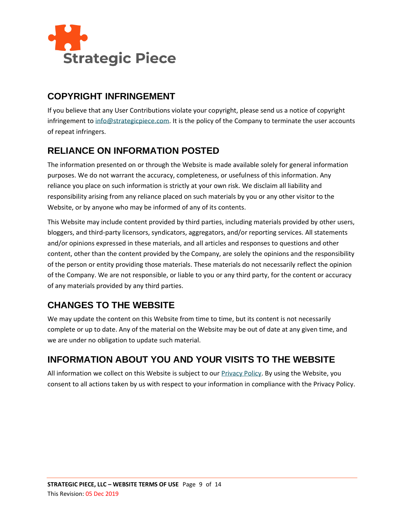

## **COPYRIGHT INFRINGEMENT**

If you believe that any User Contributions violate your copyright, please send us a notice of copyright infringement t[o info@strategicpiece.com.](mailto:info@strategicpiece.com) It is the policy of the Company to terminate the user accounts of repeat infringers.

## **RELIANCE ON INFORMATION POSTED**

The information presented on or through the Website is made available solely for general information purposes. We do not warrant the accuracy, completeness, or usefulness of this information. Any reliance you place on such information is strictly at your own risk. We disclaim all liability and responsibility arising from any reliance placed on such materials by you or any other visitor to the Website, or by anyone who may be informed of any of its contents.

This Website may include content provided by third parties, including materials provided by other users, bloggers, and third-party licensors, syndicators, aggregators, and/or reporting services. All statements and/or opinions expressed in these materials, and all articles and responses to questions and other content, other than the content provided by the Company, are solely the opinions and the responsibility of the person or entity providing those materials. These materials do not necessarily reflect the opinion of the Company. We are not responsible, or liable to you or any third party, for the content or accuracy of any materials provided by any third parties.

## **CHANGES TO THE WEBSITE**

We may update the content on this Website from time to time, but its content is not necessarily complete or up to date. Any of the material on the Website may be out of date at any given time, and we are under no obligation to update such material.

## **INFORMATION ABOUT YOU AND YOUR VISITS TO THE WEBSITE**

All information we collect on this Website is subject to our [Privacy Policy.](http://www.strategicpiece.com/privacy-policy) By using the Website, you consent to all actions taken by us with respect to your information in compliance with the Privacy Policy.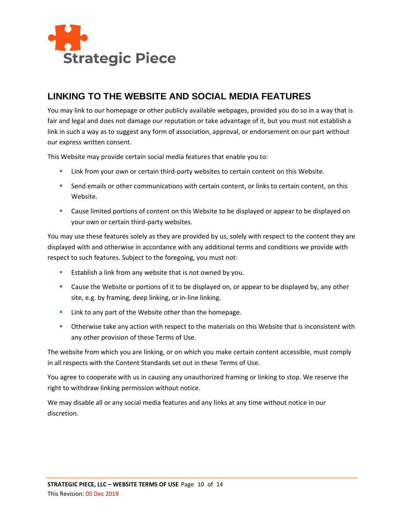

#### <span id="page-9-0"></span>**LINKING TO THE WEBSITE AND SOCIAL MEDIA FEATURES**

You may link to our homepage or other publicly available webpages, provided you do so in a way that is fair and legal and does not damage our reputation or take advantage of it, but you must not establish a link in such a way as to suggest any form of association, approval, or endorsement on our part without our express written consent.

This Website may provide certain social media features that enable you to:

- **EXECT 1** Link from your own or certain third-party websites to certain content on this Website.
- **EXECT** Send emails or other communications with certain content, or links to certain content, on this Website.
- Cause limited portions of content on this Website to be displayed or appear to be displayed on your own or certain third-party websites.

You may use these features solely as they are provided by us, solely with respect to the content they are displayed with and otherwise in accordance with any additional terms and conditions we provide with respect to such features. Subject to the foregoing, you must not:

- Establish a link from any website that is not owned by you.
- Cause the Website or portions of it to be displayed on, or appear to be displayed by, any other site, e.g. by framing, deep linking, or in-line linking.
- Link to any part of the Website other than the homepage.
- **■** Otherwise take any action with respect to the materials on this Website that is inconsistent with any other provision of these Terms of Use.

The website from which you are linking, or on which you make certain content accessible, must comply in all respects with the Content Standards set out in these Terms of Use.

You agree to cooperate with us in causing any unauthorized framing or linking to stop. We reserve the right to withdraw linking permission without notice.

We may disable all or any social media features and any links at any time without notice in our discretion.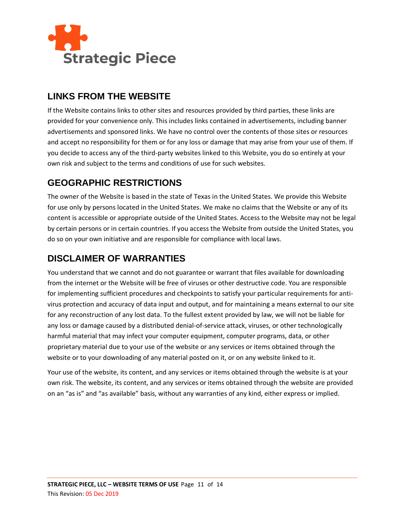

#### **LINKS FROM THE WEBSITE**

If the Website contains links to other sites and resources provided by third parties, these links are provided for your convenience only. This includes links contained in advertisements, including banner advertisements and sponsored links. We have no control over the contents of those sites or resources and accept no responsibility for them or for any loss or damage that may arise from your use of them. If you decide to access any of the third-party websites linked to this Website, you do so entirely at your own risk and subject to the terms and conditions of use for such websites.

## **GEOGRAPHIC RESTRICTIONS**

The owner of the Website is based in the state of Texas in the United States. We provide this Website for use only by persons located in the United States. We make no claims that the Website or any of its content is accessible or appropriate outside of the United States. Access to the Website may not be legal by certain persons or in certain countries. If you access the Website from outside the United States, you do so on your own initiative and are responsible for compliance with local laws.

# **DISCLAIMER OF WARRANTIES**

You understand that we cannot and do not guarantee or warrant that files available for downloading from the internet or the Website will be free of viruses or other destructive code. You are responsible for implementing sufficient procedures and checkpoints to satisfy your particular requirements for antivirus protection and accuracy of data input and output, and for maintaining a means external to our site for any reconstruction of any lost data. To the fullest extent provided by law, we will not be liable for any loss or damage caused by a distributed denial-of-service attack, viruses, or other technologically harmful material that may infect your computer equipment, computer programs, data, or other proprietary material due to your use of the website or any services or items obtained through the website or to your downloading of any material posted on it, or on any website linked to it.

Your use of the website, its content, and any services or items obtained through the website is at your own risk. The website, its content, and any services or items obtained through the website are provided on an "as is" and "as available" basis, without any warranties of any kind, either express or implied.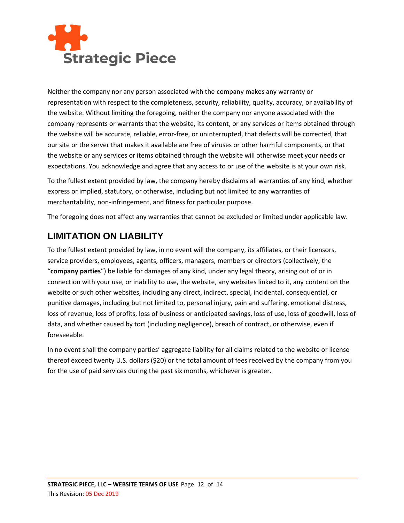

Neither the company nor any person associated with the company makes any warranty or representation with respect to the completeness, security, reliability, quality, accuracy, or availability of the website. Without limiting the foregoing, neither the company nor anyone associated with the company represents or warrants that the website, its content, or any services or items obtained through the website will be accurate, reliable, error-free, or uninterrupted, that defects will be corrected, that our site or the server that makes it available are free of viruses or other harmful components, or that the website or any services or items obtained through the website will otherwise meet your needs or expectations. You acknowledge and agree that any access to or use of the website is at your own risk.

To the fullest extent provided by law, the company hereby disclaims all warranties of any kind, whether express or implied, statutory, or otherwise, including but not limited to any warranties of merchantability, non-infringement, and fitness for particular purpose.

The foregoing does not affect any warranties that cannot be excluded or limited under applicable law.

## **LIMITATION ON LIABILITY**

To the fullest extent provided by law, in no event will the company, its affiliates, or their licensors, service providers, employees, agents, officers, managers, members or directors (collectively, the "**company parties**") be liable for damages of any kind, under any legal theory, arising out of or in connection with your use, or inability to use, the website, any websites linked to it, any content on the website or such other websites, including any direct, indirect, special, incidental, consequential, or punitive damages, including but not limited to, personal injury, pain and suffering, emotional distress, loss of revenue, loss of profits, loss of business or anticipated savings, loss of use, loss of goodwill, loss of data, and whether caused by tort (including negligence), breach of contract, or otherwise, even if foreseeable.

In no event shall the company parties' aggregate liability for all claims related to the website or license thereof exceed twenty U.S. dollars (\$20) or the total amount of fees received by the company from you for the use of paid services during the past six months, whichever is greater.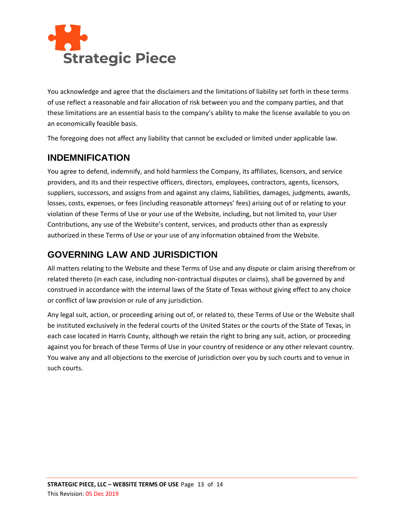

You acknowledge and agree that the disclaimers and the limitations of liability set forth in these terms of use reflect a reasonable and fair allocation of risk between you and the company parties, and that these limitations are an essential basis to the company's ability to make the license available to you on an economically feasible basis.

The foregoing does not affect any liability that cannot be excluded or limited under applicable law.

#### **INDEMNIFICATION**

You agree to defend, indemnify, and hold harmless the Company, its affiliates, licensors, and service providers, and its and their respective officers, directors, employees, contractors, agents, licensors, suppliers, successors, and assigns from and against any claims, liabilities, damages, judgments, awards, losses, costs, expenses, or fees (including reasonable attorneys' fees) arising out of or relating to your violation of these Terms of Use or your use of the Website, including, but not limited to, your User Contributions, any use of the Website's content, services, and products other than as expressly authorized in these Terms of Use or your use of any information obtained from the Website.

#### **GOVERNING LAW AND JURISDICTION**

All matters relating to the Website and these Terms of Use and any dispute or claim arising therefrom or related thereto (in each case, including non-contractual disputes or claims), shall be governed by and construed in accordance with the internal laws of the State of Texas without giving effect to any choice or conflict of law provision or rule of any jurisdiction.

Any legal suit, action, or proceeding arising out of, or related to, these Terms of Use or the Website shall be instituted exclusively in the federal courts of the United States or the courts of the State of Texas, in each case located in Harris County, although we retain the right to bring any suit, action, or proceeding against you for breach of these Terms of Use in your country of residence or any other relevant country. You waive any and all objections to the exercise of jurisdiction over you by such courts and to venue in such courts.